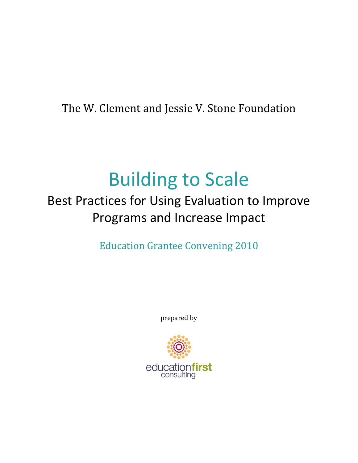The W. Clement and Jessie V. Stone Foundation

# Building to Scale

## Best Practices for Using Evaluation to Improve Programs and Increase Impact

Education Grantee Convening 2010

prepared by

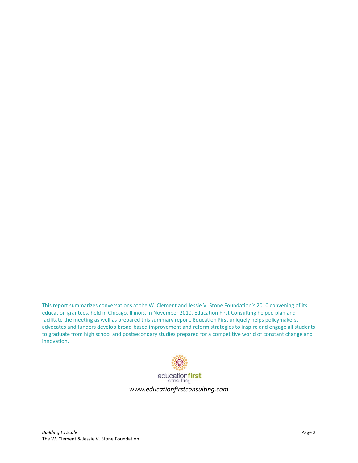This report summarizes conversations at the W. Clement and Jessie V. Stone Foundation's 2010 convening of its education grantees, held in Chicago, Illinois, in November 2010. Education First Consulting helped plan and facilitate the meeting as well as prepared this summary report. Education First uniquely helps policymakers, advocates and funders develop broad-based improvement and reform strategies to inspire and engage all students to graduate from high school and postsecondary studies prepared for a competitive world of constant change and innovation.

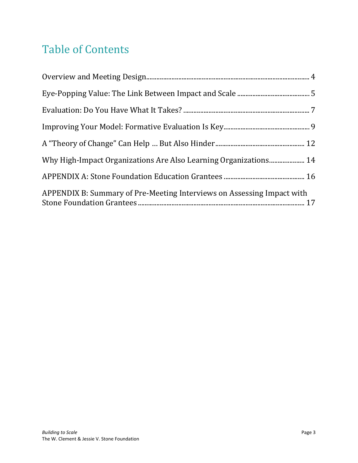## Table of Contents

| Why High-Impact Organizations Are Also Learning Organizations 14       |  |
|------------------------------------------------------------------------|--|
|                                                                        |  |
| APPENDIX B: Summary of Pre-Meeting Interviews on Assessing Impact with |  |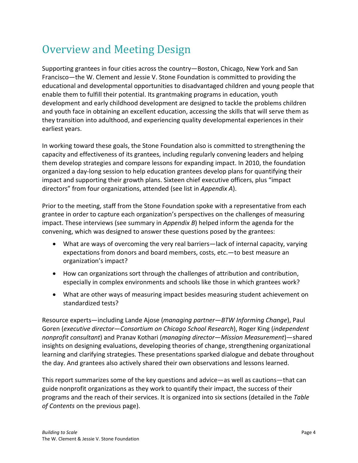## <span id="page-3-0"></span>Overview and Meeting Design

Supporting grantees in four cities across the country—Boston, Chicago, New York and San Francisco—the W. Clement and Jessie V. Stone Foundation is committed to providing the educational and developmental opportunities to disadvantaged children and young people that enable them to fulfill their potential. Its grantmaking programs in education, youth development and early childhood development are designed to tackle the problems children and youth face in obtaining an excellent education, accessing the skills that will serve them as they transition into adulthood, and experiencing quality developmental experiences in their earliest years.

In working toward these goals, the Stone Foundation also is committed to strengthening the capacity and effectiveness of its grantees, including regularly convening leaders and helping them develop strategies and compare lessons for expanding impact. In 2010, the foundation organized a day-long session to help education grantees develop plans for quantifying their impact and supporting their growth plans. Sixteen chief executive officers, plus "impact directors" from four organizations, attended (see list in *Appendix A*).

Prior to the meeting, staff from the Stone Foundation spoke with a representative from each grantee in order to capture each organization's perspectives on the challenges of measuring impact. These interviews (see summary in *Appendix B*) helped inform the agenda for the convening, which was designed to answer these questions posed by the grantees:

- What are ways of overcoming the very real barriers—lack of internal capacity, varying expectations from donors and board members, costs, etc.—to best measure an organization's impact?
- How can organizations sort through the challenges of attribution and contribution, especially in complex environments and schools like those in which grantees work?
- What are other ways of measuring impact besides measuring student achievement on standardized tests?

Resource experts—including Lande Ajose (*managing partner—BTW Informing Change*), Paul Goren (*executive director—Consortium on Chicago School Research*), Roger King (*independent nonprofit consultant*) and Pranav Kothari (*managing director—Mission Measurement*)—shared insights on designing evaluations, developing theories of change, strengthening organizational learning and clarifying strategies. These presentations sparked dialogue and debate throughout the day. And grantees also actively shared their own observations and lessons learned.

This report summarizes some of the key questions and advice—as well as cautions—that can guide nonprofit organizations as they work to quantify their impact, the success of their programs and the reach of their services. It is organized into six sections (detailed in the *Table of Contents* on the previous page).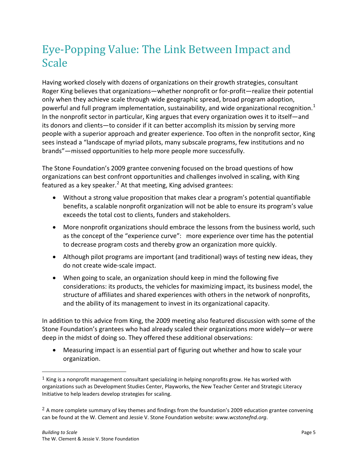## <span id="page-4-0"></span>Eye-Popping Value: The Link Between Impact and Scale

Having worked closely with dozens of organizations on their growth strategies, consultant Roger King believes that organizations—whether nonprofit or for-profit—realize their potential only when they achieve scale through wide geographic spread, broad program adoption, powerful and full program implementation, sustainability, and wide organizational recognition.<sup>[1](#page-4-1)</sup> In the nonprofit sector in particular, King argues that every organization owes it to itself—and its donors and clients—to consider if it can better accomplish its mission by serving more people with a superior approach and greater experience. Too often in the nonprofit sector, King sees instead a "landscape of myriad pilots, many subscale programs, few institutions and no brands"—missed opportunities to help more people more successfully.

The Stone Foundation's 2009 grantee convening focused on the broad questions of how organizations can best confront opportunities and challenges involved in scaling, with King featured as a key speaker.<sup>[2](#page-4-2)</sup> At that meeting, King advised grantees:

- Without a strong value proposition that makes clear a program's potential quantifiable benefits, a scalable nonprofit organization will not be able to ensure its program's value exceeds the total cost to clients, funders and stakeholders.
- More nonprofit organizations should embrace the lessons from the business world, such as the concept of the "experience curve": more experience over time has the potential to decrease program costs and thereby grow an organization more quickly.
- Although pilot programs are important (and traditional) ways of testing new ideas, they do not create wide-scale impact.
- When going to scale, an organization should keep in mind the following five considerations: its products, the vehicles for maximizing impact, its business model, the structure of affiliates and shared experiences with others in the network of nonprofits, and the ability of its management to invest in its organizational capacity.

In addition to this advice from King, the 2009 meeting also featured discussion with some of the Stone Foundation's grantees who had already scaled their organizations more widely—or were deep in the midst of doing so. They offered these additional observations:

• Measuring impact is an essential part of figuring out whether and how to scale your organization.

<span id="page-4-1"></span> $1$  King is a nonprofit management consultant specializing in helping nonprofits grow. He has worked with organizations such as Development Studies Center, Playworks, the New Teacher Center and Strategic Literacy Initiative to help leaders develop strategies for scaling.

<span id="page-4-2"></span> $<sup>2</sup>$  A more complete summary of key themes and findings from the foundation's 2009 education grantee convening</sup> can be found at the W. Clement and Jessie V. Stone Foundation website: *www.wcstonefnd.org*.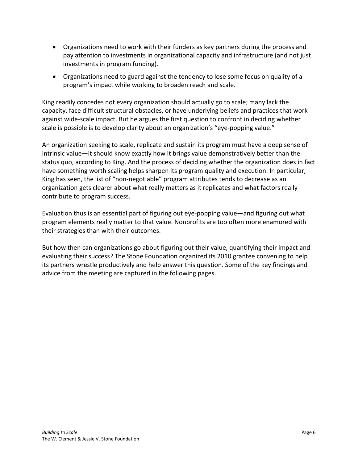- Organizations need to work with their funders as key partners during the process and pay attention to investments in organizational capacity and infrastructure (and not just investments in program funding).
- Organizations need to guard against the tendency to lose some focus on quality of a program's impact while working to broaden reach and scale.

King readily concedes not every organization should actually go to scale; many lack the capacity, face difficult structural obstacles, or have underlying beliefs and practices that work against wide-scale impact. But he argues the first question to confront in deciding whether scale is possible is to develop clarity about an organization's "eye-popping value."

An organization seeking to scale, replicate and sustain its program must have a deep sense of intrinsic value—it should know exactly how it brings value demonstratively better than the status quo, according to King. And the process of deciding whether the organization does in fact have something worth scaling helps sharpen its program quality and execution. In particular, King has seen, the list of "non-negotiable" program attributes tends to decrease as an organization gets clearer about what really matters as it replicates and what factors really contribute to program success.

Evaluation thus is an essential part of figuring out eye-popping value—and figuring out what program elements really matter to that value. Nonprofits are too often more enamored with their strategies than with their outcomes.

But how then can organizations go about figuring out their value, quantifying their impact and evaluating their success? The Stone Foundation organized its 2010 grantee convening to help its partners wrestle productively and help answer this question. Some of the key findings and advice from the meeting are captured in the following pages.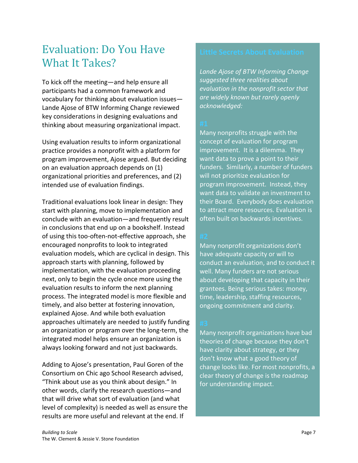### <span id="page-6-0"></span>Evaluation: Do You Have What It Takes?

To kick off the meeting—and help ensure all participants had a common framework and vocabulary for thinking about evaluation issues— Lande Ajose of BTW Informing Change reviewed key considerations in designing evaluations and thinking about measuring organizational impact.

Using evaluation results to inform organizational practice provides a nonprofit with a platform for program improvement, Ajose argued. But deciding on an evaluation approach depends on (1) organizational priorities and preferences, and (2) intended use of evaluation findings.

Traditional evaluations look linear in design: They start with planning, move to implementation and conclude with an evaluation—and frequently result in conclusions that end up on a bookshelf. Instead of using this too-often-not-effective approach, she encouraged nonprofits to look to integrated evaluation models, which are cyclical in design. This approach starts with planning, followed by implementation, with the evaluation proceeding next, only to begin the cycle once more using the evaluation results to inform the next planning process. The integrated model is more flexible and timely, and also better at fostering innovation, explained Ajose. And while both evaluation approaches ultimately are needed to justify funding an organization or program over the long-term, the integrated model helps ensure an organization is always looking forward and not just backwards.

Adding to Ajose's presentation, Paul Goren of the Consortium on Chic ago School Research advised, "Think about use as you think about design." In other words, clarify the research questions—and that will drive what sort of evaluation (and what level of complexity) is needed as well as ensure the results are more useful and relevant at the end. If

*Lande Ajose of BTW Informing Change suggested three realities about evaluation in the nonprofit sector that are widely known but rarely openly acknowledged:*

Many nonprofits struggle with the concept of evaluation for program improvement. It is a dilemma. They want data to prove a point to their funders. Similarly, a number of funders will not prioritize evaluation for program improvement. Instead, they want data to validate an investment to their Board. Everybody does evaluation to attract more resources. Evaluation is often built on backwards incentives.

Many nonprofit organizations don't have adequate capacity or will to conduct an evaluation, and to conduct it well. Many funders are not serious about developing that capacity in their grantees. Being serious takes: money, time, leadership, staffing resources, ongoing commitment and clarity.

Many nonprofit organizations have bad theories of change because they don't have clarity about strategy, or they don't know what a good theory of change looks like. For most nonprofits, a clear theory of change is the roadmap for understanding impact.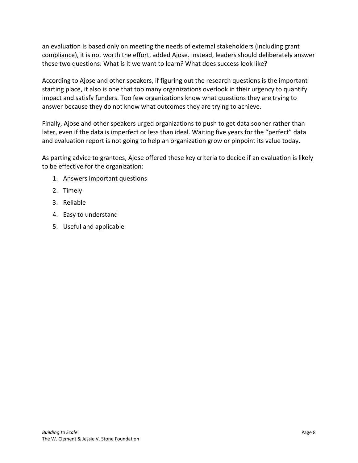an evaluation is based only on meeting the needs of external stakeholders (including grant compliance), it is not worth the effort, added Ajose. Instead, leaders should deliberately answer these two questions: What is it we want to learn? What does success look like?

According to Ajose and other speakers, if figuring out the research questions is the important starting place, it also is one that too many organizations overlook in their urgency to quantify impact and satisfy funders. Too few organizations know what questions they are trying to answer because they do not know what outcomes they are trying to achieve.

Finally, Ajose and other speakers urged organizations to push to get data sooner rather than later, even if the data is imperfect or less than ideal. Waiting five years for the "perfect" data and evaluation report is not going to help an organization grow or pinpoint its value today.

As parting advice to grantees, Ajose offered these key criteria to decide if an evaluation is likely to be effective for the organization:

- 1. Answers important questions
- 2. Timely
- 3. Reliable
- 4. Easy to understand
- 5. Useful and applicable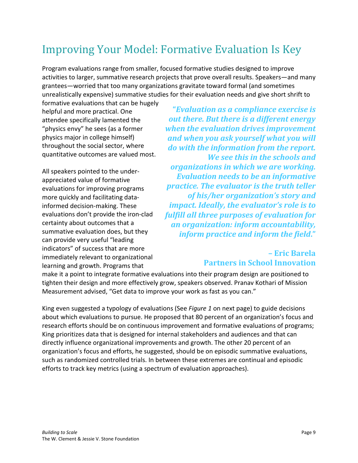## <span id="page-8-0"></span>Improving Your Model: Formative Evaluation Is Key

Program evaluations range from smaller, focused formative studies designed to improve activities to larger, summative research projects that prove overall results. Speakers—and many grantees—worried that too many organizations gravitate toward formal (and sometimes unrealistically expensive) summative studies for their evaluation needs and give short shrift to

formative evaluations that can be hugely helpful and more practical. One attendee specifically lamented the "physics envy" he sees (as a former physics major in college himself) throughout the social sector, where quantitative outcomes are valued most.

All speakers pointed to the underappreciated value of formative evaluations for improving programs more quickly and facilitating datainformed decision-making. These evaluations don't provide the iron-clad certainty about outcomes that a summative evaluation does, but they can provide very useful "leading indicators" of success that are more immediately relevant to organizational learning and growth. Programs that

**"***Evaluation as a compliance exercise is out there. But there is a different energy when the evaluation drives improvement and when you ask yourself what you will do with the information from the report. We see this in the schools and organizations in which we are working. Evaluation needs to be an informative practice. The evaluator is the truth teller of his/her organization's story and impact. Ideally, the evaluator's role is to fulfill all three purposes of evaluation for an organization: inform accountability, inform practice and inform the field***."**

### **– Eric Barela Partners in School Innovation**

make it a point to integrate formative evaluations into their program design are positioned to tighten their design and more effectively grow, speakers observed. Pranav Kothari of Mission Measurement advised, "Get data to improve your work as fast as you can."

King even suggested a typology of evaluations (See *Figure 1* on next page) to guide decisions about which evaluations to pursue. He proposed that 80 percent of an organization's focus and research efforts should be on continuous improvement and formative evaluations of programs; King prioritizes data that is designed for internal stakeholders and audiences and that can directly influence organizational improvements and growth. The other 20 percent of an organization's focus and efforts, he suggested, should be on episodic summative evaluations, such as randomized controlled trials. In between these extremes are continual and episodic efforts to track key metrics (using a spectrum of evaluation approaches).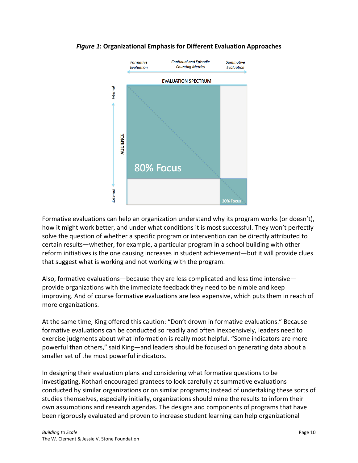

#### *Figure 1***: Organizational Emphasis for Different Evaluation Approaches**

Formative evaluations can help an organization understand why its program works (or doesn't), how it might work better, and under what conditions it is most successful. They won't perfectly solve the question of whether a specific program or intervention can be directly attributed to certain results—whether, for example, a particular program in a school building with other reform initiatives is the one causing increases in student achievement—but it will provide clues that suggest what is working and not working with the program.

Also, formative evaluations—because they are less complicated and less time intensive provide organizations with the immediate feedback they need to be nimble and keep improving. And of course formative evaluations are less expensive, which puts them in reach of more organizations.

At the same time, King offered this caution: "Don't drown in formative evaluations." Because formative evaluations can be conducted so readily and often inexpensively, leaders need to exercise judgments about what information is really most helpful. "Some indicators are more powerful than others," said King—and leaders should be focused on generating data about a smaller set of the most powerful indicators.

In designing their evaluation plans and considering what formative questions to be investigating, Kothari encouraged grantees to look carefully at summative evaluations conducted by similar organizations or on similar programs; instead of undertaking these sorts of studies themselves, especially initially, organizations should mine the results to inform their own assumptions and research agendas. The designs and components of programs that have been rigorously evaluated and proven to increase student learning can help organizational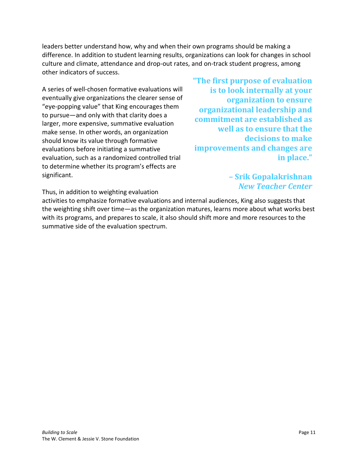leaders better understand how, why and when their own programs should be making a difference. In addition to student learning results, organizations can look for changes in school culture and climate, attendance and drop-out rates, and on-track student progress, among other indicators of success.

A series of well-chosen formative evaluations will eventually give organizations the clearer sense of "eye-popping value" that King encourages them to pursue—and only with that clarity does a larger, more expensive, summative evaluation make sense. In other words, an organization should know its value through formative evaluations before initiating a summative evaluation, such as a randomized controlled trial to determine whether its program's effects are significant.

**"The first purpose of evaluation is to look internally at your organization to ensure organizational leadership and commitment are established as well as to ensure that the decisions to make improvements and changes are in place."**

> **– Srik Gopalakrishnan** *New Teacher Center*

Thus, in addition to weighting evaluation

activities to emphasize formative evaluations and internal audiences, King also suggests that the weighting shift over time—as the organization matures, learns more about what works best with its programs, and prepares to scale, it also should shift more and more resources to the summative side of the evaluation spectrum.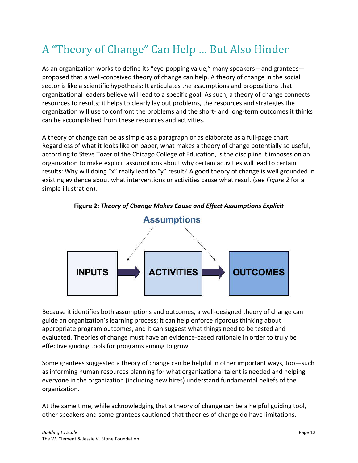## <span id="page-11-0"></span>A "Theory of Change" Can Help … But Also Hinder

As an organization works to define its "eye-popping value," many speakers—and grantees proposed that a well-conceived theory of change can help. A theory of change in the social sector is like a scientific hypothesis: It articulates the assumptions and propositions that organizational leaders believe will lead to a specific goal. As such, a theory of change connects resources to results; it helps to clearly lay out problems, the resources and strategies the organization will use to confront the problems and the short- and long-term outcomes it thinks can be accomplished from these resources and activities.

A theory of change can be as simple as a paragraph or as elaborate as a full-page chart. Regardless of what it looks like on paper, what makes a theory of change potentially so useful, according to Steve Tozer of the Chicago College of Education, is the discipline it imposes on an organization to make explicit assumptions about why certain activities will lead to certain results: Why will doing "x" really lead to "y" result? A good theory of change is well grounded in existing evidence about what interventions or activities cause what result (see *Figure 2* for a simple illustration).



**Figure 2:** *Theory of Change Makes Cause and Effect Assumptions Explicit*

Because it identifies both assumptions and outcomes, a well-designed theory of change can guide an organization's learning process; it can help enforce rigorous thinking about appropriate program outcomes, and it can suggest what things need to be tested and evaluated. Theories of change must have an evidence-based rationale in order to truly be effective guiding tools for programs aiming to grow.

Some grantees suggested a theory of change can be helpful in other important ways, too—such as informing human resources planning for what organizational talent is needed and helping everyone in the organization (including new hires) understand fundamental beliefs of the organization.

At the same time, while acknowledging that a theory of change can be a helpful guiding tool, other speakers and some grantees cautioned that theories of change do have limitations.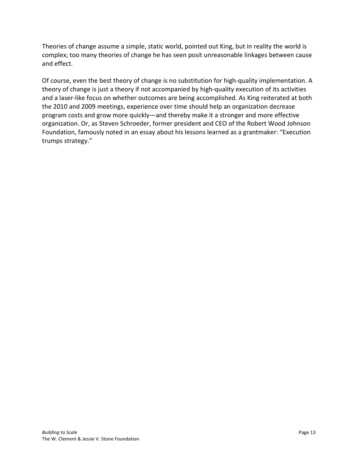Theories of change assume a simple, static world, pointed out King, but in reality the world is complex; too many theories of change he has seen posit unreasonable linkages between cause and effect.

Of course, even the best theory of change is no substitution for high-quality implementation. A theory of change is just a theory if not accompanied by high-quality execution of its activities and a laser-like focus on whether outcomes are being accomplished. As King reiterated at both the 2010 and 2009 meetings, experience over time should help an organization decrease program costs and grow more quickly—and thereby make it a stronger and more effective organization. Or, as Steven Schroeder, former president and CEO of the Robert Wood Johnson Foundation, famously noted in an essay about his lessons learned as a grantmaker: "Execution trumps strategy."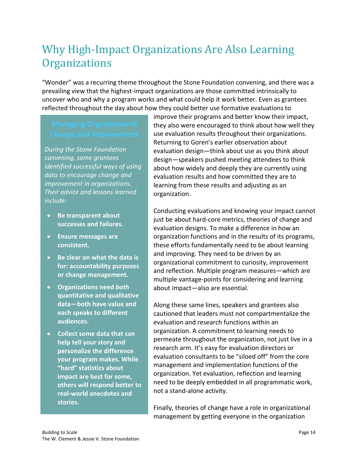## <span id="page-13-0"></span>Why High-Impact Organizations Are Also Learning **Organizations**

"Wonder" was a recurring theme throughout the Stone Foundation convening, and there was a prevailing view that the highest-impact organizations are those committed intrinsically to uncover who and why a program works and what could help it work better. Even as grantees reflected throughout the day about how they could better use formative evaluations to

*During the Stone Foundation convening, some grantees identified successful ways of using data to encourage change and improvement in organizations. Their advice and lessons learned include:*

- **Be transparent about successes and failures.**
- **Ensure messages are consistent.**
- **Be clear on what the data is for: accountability purposes or change management.**
- **Organizations need** *both* **quantitative and qualitative data—both have value and each speaks to different audiences.**
- **Collect some data that can help tell your story and personalize the difference your program makes. While "hard" statistics about impact are best for some, others will respond better to real-world anecdotes and stories.**

improve their programs and better know their impact, they also were encouraged to think about how well they use evaluation results throughout their organizations. Returning to Goren's earlier observation about evaluation design—think about use as you think about design—speakers pushed meeting attendees to think about how widely and deeply they are currently using evaluation results and how committed they are to learning from these results and adjusting as an organization.

Conducting evaluations and knowing your impact cannot just be about hard-core metrics, theories of change and evaluation designs. To make a difference in how an organization functions and in the results of its programs, these efforts fundamentally need to be about learning and improving. They need to be driven by an organizational commitment to curiosity, improvement and reflection. Multiple program measures—which are multiple vantage-points for considering and learning about impact—also are essential.

Along these same lines, speakers and grantees also cautioned that leaders must not compartmentalize the evaluation and research functions within an organization. A commitment to learning needs to permeate throughout the organization, not just live in a research arm. It's easy for evaluation directors or evaluation consultants to be "siloed off" from the core management and implementation functions of the organization. Yet evaluation, reflection and learning need to be deeply embedded in all programmatic work, not a stand-alone activity.

Finally, theories of change have a role in organizational management by getting everyone in the organization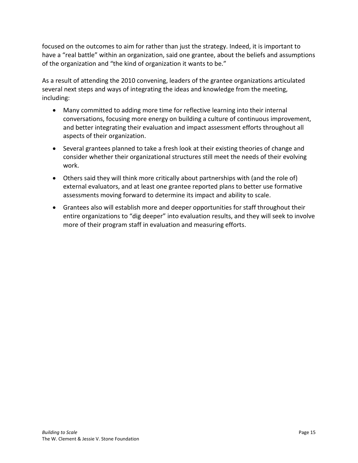focused on the outcomes to aim for rather than just the strategy. Indeed, it is important to have a "real battle" within an organization, said one grantee, about the beliefs and assumptions of the organization and "the kind of organization it wants to be."

As a result of attending the 2010 convening, leaders of the grantee organizations articulated several next steps and ways of integrating the ideas and knowledge from the meeting, including:

- Many committed to adding more time for reflective learning into their internal conversations, focusing more energy on building a culture of continuous improvement, and better integrating their evaluation and impact assessment efforts throughout all aspects of their organization.
- Several grantees planned to take a fresh look at their existing theories of change and consider whether their organizational structures still meet the needs of their evolving work.
- Others said they will think more critically about partnerships with (and the role of) external evaluators, and at least one grantee reported plans to better use formative assessments moving forward to determine its impact and ability to scale.
- Grantees also will establish more and deeper opportunities for staff throughout their entire organizations to "dig deeper" into evaluation results, and they will seek to involve more of their program staff in evaluation and measuring efforts.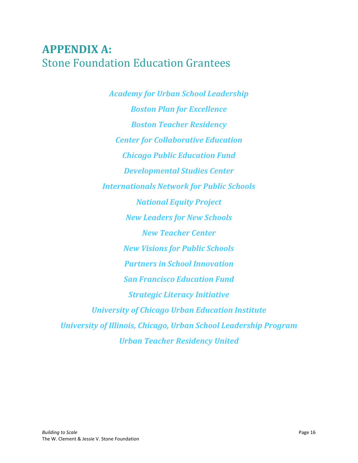## <span id="page-15-0"></span>**APPENDIX A:** Stone Foundation Education Grantees

*Academy for Urban School Leadership Boston Plan for Excellence Boston Teacher Residency Center for Collaborative Education Chicago Public Education Fund Developmental Studies Center Internationals Network for Public Schools National Equity Project New Leaders for New Schools New Teacher Center New Visions for Public Schools Partners in School Innovation San Francisco Education Fund Strategic Literacy Initiative University of Chicago Urban Education Institute University of Illinois, Chicago, Urban School Leadership Program Urban Teacher Residency United*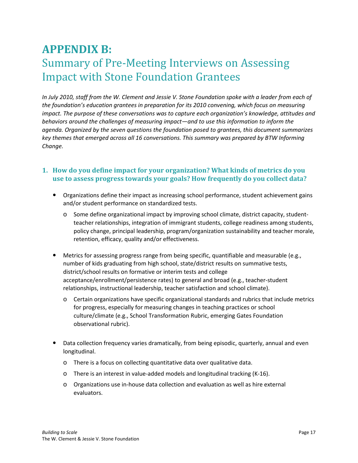## <span id="page-16-0"></span>**APPENDIX B:** Summary of Pre-Meeting Interviews on Assessing Impact with Stone Foundation Grantees

*In July 2010, staff from the W. Clement and Jessie V. Stone Foundation spoke with a leader from each of the foundation's education grantees in preparation for its 2010 convening, which focus on measuring impact. The purpose of these conversations was to capture each organization's knowledge, attitudes and behaviors around the challenges of measuring impact—and to use this information to inform the agenda. Organized by the seven questions the foundation posed to grantees, this document summarizes key themes that emerged across all 16 conversations. This summary was prepared by BTW Informing Change.*

### **1. How do you define impact for your organization? What kinds of metrics do you use to assess progress towards your goals? How frequently do you collect data?**

- Organizations define their impact as increasing school performance, student achievement gains and/or student performance on standardized tests.
	- o Some define organizational impact by improving school climate, district capacity, studentteacher relationships, integration of immigrant students, college readiness among students, policy change, principal leadership, program/organization sustainability and teacher morale, retention, efficacy, quality and/or effectiveness.
- Metrics for assessing progress range from being specific, quantifiable and measurable (e.g., number of kids graduating from high school, state/district results on summative tests, district/school results on formative or interim tests and college acceptance/enrollment/persistence rates) to general and broad (e.g., teacher-student relationships, instructional leadership, teacher satisfaction and school climate).
	- o Certain organizations have specific organizational standards and rubrics that include metrics for progress, especially for measuring changes in teaching practices or school culture/climate (e.g., School Transformation Rubric, emerging Gates Foundation observational rubric).
- Data collection frequency varies dramatically, from being episodic, quarterly, annual and even longitudinal.
	- o There is a focus on collecting quantitative data over qualitative data.
	- o There is an interest in value-added models and longitudinal tracking (K-16).
	- o Organizations use in-house data collection and evaluation as well as hire external evaluators.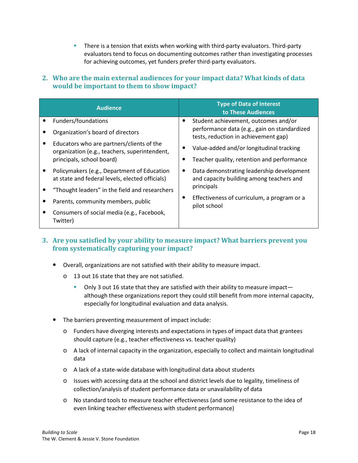**There is a tension that exists when working with third-party evaluators. Third-party** evaluators tend to focus on documenting outcomes rather than investigating processes for achieving outcomes, yet funders prefer third-party evaluators.

### **2. Who are the main external audiences for your impact data? What kinds of data would be important to them to show impact?**

| <b>Audience</b>                                                                                |  | <b>Type of Data of Interest</b><br>to These Audiences                                 |
|------------------------------------------------------------------------------------------------|--|---------------------------------------------------------------------------------------|
| Funders/foundations                                                                            |  | Student achievement, outcomes and/or                                                  |
| Organization's board of directors                                                              |  | performance data (e.g., gain on standardized<br>tests, reduction in achievement gap)  |
| Educators who are partners/clients of the<br>organization (e.g., teachers, superintendent,     |  | Value-added and/or longitudinal tracking                                              |
| principals, school board)                                                                      |  | Teacher quality, retention and performance                                            |
| Policymakers (e.g., Department of Education<br>at state and federal levels, elected officials) |  | Data demonstrating leadership development<br>and capacity building among teachers and |
| "Thought leaders" in the field and researchers                                                 |  | principals                                                                            |
| Parents, community members, public                                                             |  | Effectiveness of curriculum, a program or a<br>pilot school                           |
| Consumers of social media (e.g., Facebook,<br>Twitter)                                         |  |                                                                                       |

### **3. Are you satisfied by your ability to measure impact? What barriers prevent you from systematically capturing your impact?**

- Overall, organizations are not satisfied with their ability to measure impact.
	- o 13 out 16 state that they are not satisfied.
		- Only 3 out 16 state that they are satisfied with their ability to measure impact although these organizations report they could still benefit from more internal capacity, especially for longitudinal evaluation and data analysis.
- The barriers preventing measurement of impact include:
	- o Funders have diverging interests and expectations in types of impact data that grantees should capture (e.g., teacher effectiveness vs. teacher quality)
	- o A lack of internal capacity in the organization, especially to collect and maintain longitudinal data
	- o A lack of a state-wide database with longitudinal data about students
	- o Issues with accessing data at the school and district levels due to legality, timeliness of collection/analysis of student performance data or unavailability of data
	- o No standard tools to measure teacher effectiveness (and some resistance to the idea of even linking teacher effectiveness with student performance)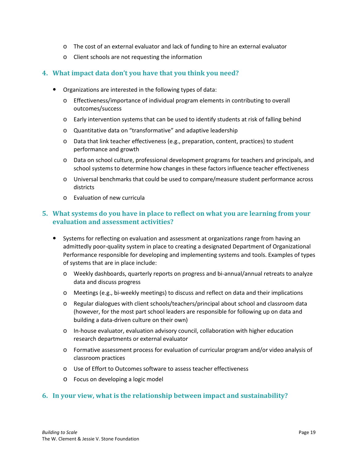- o The cost of an external evaluator and lack of funding to hire an external evaluator
- o Client schools are not requesting the information

#### **4. What impact data don't you have that you think you need?**

- Organizations are interested in the following types of data:
	- o Effectiveness/importance of individual program elements in contributing to overall outcomes/success
	- o Early intervention systems that can be used to identify students at risk of falling behind
	- o Quantitative data on "transformative" and adaptive leadership
	- o Data that link teacher effectiveness (e.g., preparation, content, practices) to student performance and growth
	- o Data on school culture, professional development programs for teachers and principals, and school systems to determine how changes in these factors influence teacher effectiveness
	- o Universal benchmarks that could be used to compare/measure student performance across districts
	- o Evaluation of new curricula

#### **5. What systems do you have in place to reflect on what you are learning from your evaluation and assessment activities?**

- Systems for reflecting on evaluation and assessment at organizations range from having an admittedly poor-quality system in place to creating a designated Department of Organizational Performance responsible for developing and implementing systems and tools. Examples of types of systems that are in place include:
	- o Weekly dashboards, quarterly reports on progress and bi-annual/annual retreats to analyze data and discuss progress
	- o Meetings (e.g., bi-weekly meetings) to discuss and reflect on data and their implications
	- o Regular dialogues with client schools/teachers/principal about school and classroom data (however, for the most part school leaders are responsible for following up on data and building a data-driven culture on their own)
	- o In-house evaluator, evaluation advisory council, collaboration with higher education research departments or external evaluator
	- o Formative assessment process for evaluation of curricular program and/or video analysis of classroom practices
	- o Use of Effort to Outcomes software to assess teacher effectiveness
	- o Focus on developing a logic model

#### **6. In your view, what is the relationship between impact and sustainability?**